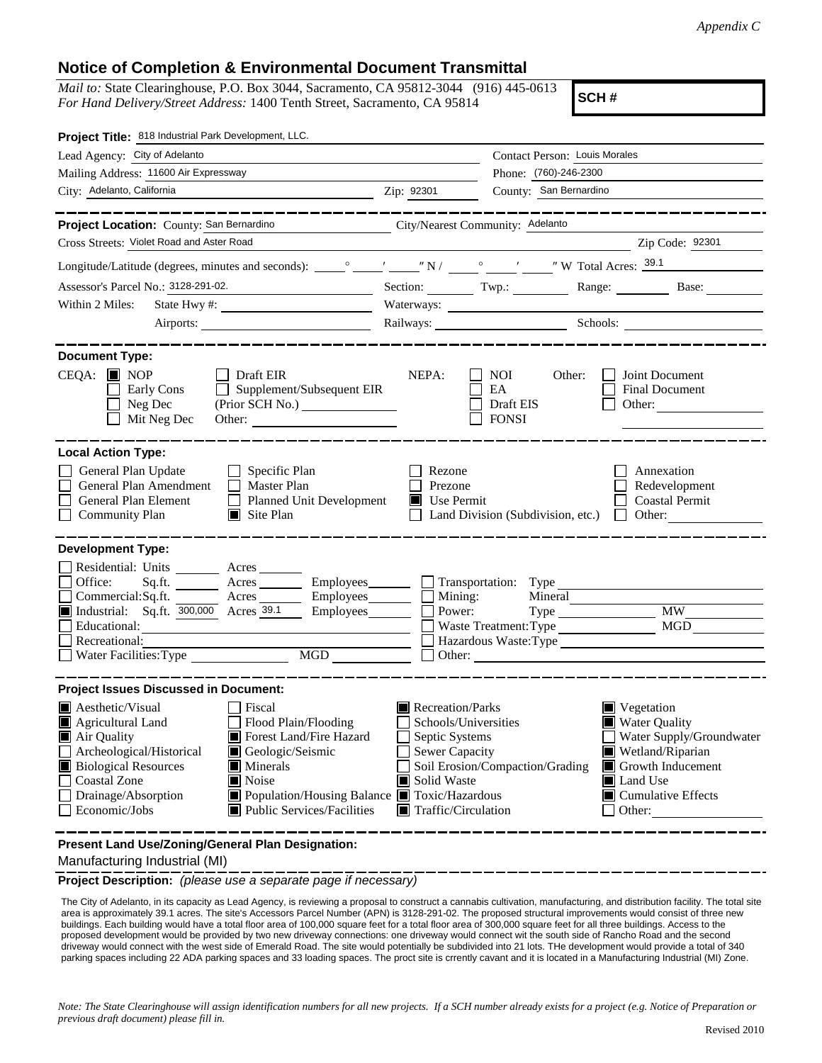## **Notice of Completion & Environmental Document Transmittal**

*Mail to:* State Clearinghouse, P.O. Box 3044, Sacramento, CA 95812-3044 (916) 445-0613 *For Hand Delivery/Street Address:* 1400 Tenth Street, Sacramento, CA 95814

**SCH #**

| Project Title: 818 Industrial Park Development, LLC.                                                                                                                                                                                                                                                                                                                                                                              |                                                                                                                                                                                                                                                                                                                                                             |
|-----------------------------------------------------------------------------------------------------------------------------------------------------------------------------------------------------------------------------------------------------------------------------------------------------------------------------------------------------------------------------------------------------------------------------------|-------------------------------------------------------------------------------------------------------------------------------------------------------------------------------------------------------------------------------------------------------------------------------------------------------------------------------------------------------------|
| Lead Agency: City of Adelanto                                                                                                                                                                                                                                                                                                                                                                                                     | Contact Person: Louis Morales                                                                                                                                                                                                                                                                                                                               |
| Mailing Address: 11600 Air Expressway                                                                                                                                                                                                                                                                                                                                                                                             | Phone: (760)-246-2300                                                                                                                                                                                                                                                                                                                                       |
| City: Adelanto, California                                                                                                                                                                                                                                                                                                                                                                                                        | County: San Bernardino<br>Zip: 92301                                                                                                                                                                                                                                                                                                                        |
| Project Location: County: San Bernardino<br>Cross Streets: Violet Road and Aster Road<br>Assessor's Parcel No.: 3128-291-02.<br><u> 1989 - Johann Barn, mars and de Branch Barn, mars and de Branch Barn, mars and de Branch Barn, mars and de Br</u><br>Within 2 Miles:<br>Airports:<br><b>Document Type:</b><br>CEQA: ■ NOP<br>$\Box$ Draft EIR                                                                                 | City/Nearest Community: Adelanto<br>Zip Code: 92301<br>Section: Twp.: Range: Base:<br>Railways: Schools: Schools:<br>NEPA:<br>Joint Document<br>NOI<br>Other:                                                                                                                                                                                               |
| $\Box$ Supplement/Subsequent EIR<br>Early Cons<br>Neg Dec<br>Mit Neg Dec<br><b>Local Action Type:</b>                                                                                                                                                                                                                                                                                                                             | EA<br>Final Document<br>Draft EIS<br>Other: $\frac{1}{\sqrt{1-\frac{1}{2}}\cdot\frac{1}{\sqrt{1-\frac{1}{2}}}}$<br><b>FONSI</b>                                                                                                                                                                                                                             |
| General Plan Update<br>$\Box$ Specific Plan<br>General Plan Amendment<br>$\Box$ Master Plan<br>Planned Unit Development<br>General Plan Element<br><b>Community Plan</b><br>$\Box$ Site Plan                                                                                                                                                                                                                                      | Rezone<br>Annexation<br>Prezone<br>Redevelopment<br><b>Coastal Permit</b><br>$\blacksquare$ Use Permit<br>Land Division (Subdivision, etc.)<br>$\Box$ Other:                                                                                                                                                                                                |
| <b>Development Type:</b><br>Residential: Units ________ Acres _______<br>Office:<br>Commercial:Sq.ft. ________ Acres _________ Employees _______ __ Mining:<br>Industrial: Sq.ft. 300,000 Acres 39.1<br>$Employes$ $\Box$<br>$\overline{\phantom{a}}$<br>Recreational:<br>MGD<br>                                                                                                                                                 | Sq.ft. _______ Acres ________ Employees _______ _ Transportation: Type __________<br>Mineral<br>Power:<br>MW<br>Type<br>MGD<br>Waste Treatment: Type<br>Hazardous Waste:Type                                                                                                                                                                                |
| <b>Project Issues Discussed in Document:</b><br>Aesthetic/Visual<br>Fiscal<br>Flood Plain/Flooding<br>Agricultural Land<br>Forest Land/Fire Hazard<br>Air Quality<br>Geologic/Seismic<br>Archeological/Historical<br><b>Biological Resources</b><br>$\blacksquare$ Minerals<br><b>Coastal Zone</b><br>Noise<br>Drainage/Absorption<br>Population/Housing Balance Toxic/Hazardous<br>Economic/Jobs<br>■ Public Services/Facilities | Recreation/Parks<br>$\blacksquare$ Vegetation<br>Water Quality<br>Schools/Universities<br>Septic Systems<br>Water Supply/Groundwater<br>Sewer Capacity<br>Wetland/Riparian<br>Soil Erosion/Compaction/Grading<br>Growth Inducement<br>Solid Waste<br><b>■</b> Land Use<br>$\blacksquare$ Cumulative Effects<br>$\blacksquare$ Traffic/Circulation<br>Other: |

**Present Land Use/Zoning/General Plan Designation:**

Manufacturing Industrial (MI)

**Project Description:** *(please use a separate page if necessary)*

 The City of Adelanto, in its capacity as Lead Agency, is reviewing a proposal to construct a cannabis cultivation, manufacturing, and distribution facility. The total site area is approximately 39.1 acres. The site's Accessors Parcel Number (APN) is 3128-291-02. The proposed structural improvements would consist of three new buildings. Each building would have a total floor area of 100,000 square feet for a total floor area of 300,000 square feet for all three buildings. Access to the proposed development would be provided by two new driveway connections: one driveway would connect wit the south side of Rancho Road and the second driveway would connect with the west side of Emerald Road. The site would potentially be subdivided into 21 lots. THe development would provide a total of 340 parking spaces including 22 ADA parking spaces and 33 loading spaces. The proct site is crrently cavant and it is located in a Manufacturing Industrial (MI) Zone.

*Note: The State Clearinghouse will assign identification numbers for all new projects. If a SCH number already exists for a project (e.g. Notice of Preparation or previous draft document) please fill in.*